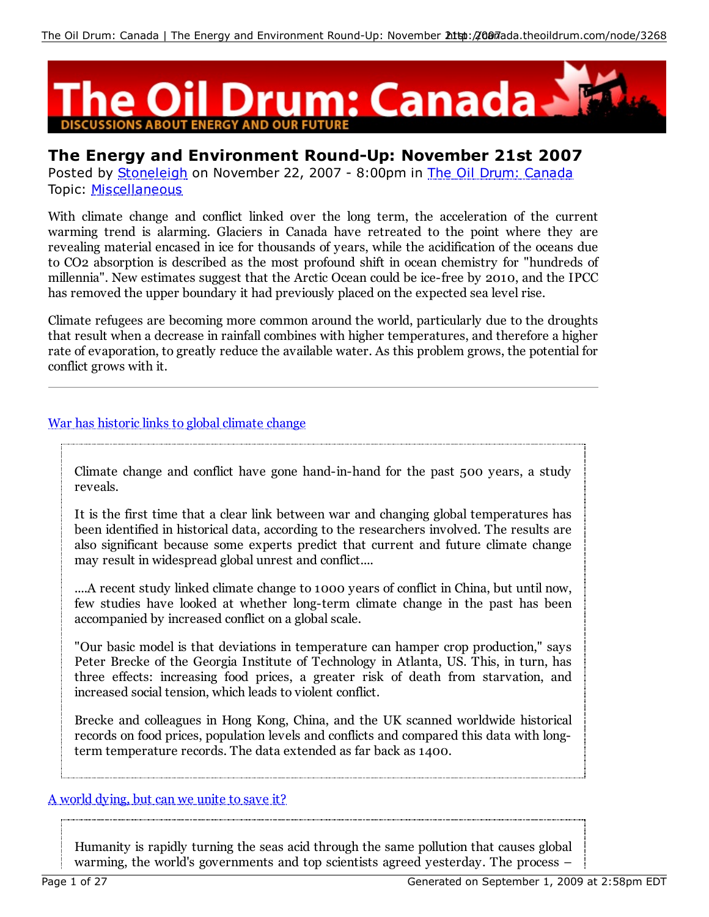

# **The Energy and Environment Round-Up: November 21st 2007**

Posted by Stoneleigh on November 22, 2007 - 8:00pm in The Oil Drum: Canada Topic: Miscellaneous

With climate change and conflict linked over the long term, the acceleration of the current warming trend is alarming. Glaciers in Canada have retreated to the point where they are revealing material encased in ice for thousands of years, while the acidification of the oceans due to CO2 absorption is described as the most profound shift in ocean chemistry for "hundreds of millennia". New estimates suggest that the Arctic Ocean could be ice-free by 2010, and the IPCC has removed the upper boundary it had previously placed on the expected sea level rise.

Climate refugees are becoming more common around the world, particularly due to the droughts that result when a decrease in rainfall combines with higher temperatures, and therefore a higher rate of evaporation, to greatly reduce the available water. As this problem grows, the potential for conflict grows with it.

## War has historic links to global climate change

Climate change and conflict have gone hand-in-hand for the past 500 years, a study reveals.

It is the first time that a clear link between war and changing global temperatures has been identified in historical data, according to the researchers involved. The results are also significant because some experts predict that current and future climate change may result in widespread global unrest and conflict....

....A recent study linked climate change to 1000 years of conflict in China, but until now, few studies have looked at whether long-term climate change in the past has been accompanied by increased conflict on a global scale.

"Our basic model is that deviations in temperature can hamper crop production," says Peter Brecke of the Georgia Institute of Technology in Atlanta, US. This, in turn, has three effects: increasing food prices, a greater risk of death from starvation, and increased social tension, which leads to violent conflict.

Brecke and colleagues in Hong Kong, China, and the UK scanned worldwide historical records on food prices, population levels and conflicts and compared this data with longterm temperature records. The data extended as far back as 1400.

## A world dying, but can we unite to save it?

Humanity is rapidly turning the seas acid through the same pollution that causes global warming, the world's governments and top scientists agreed yesterday. The process –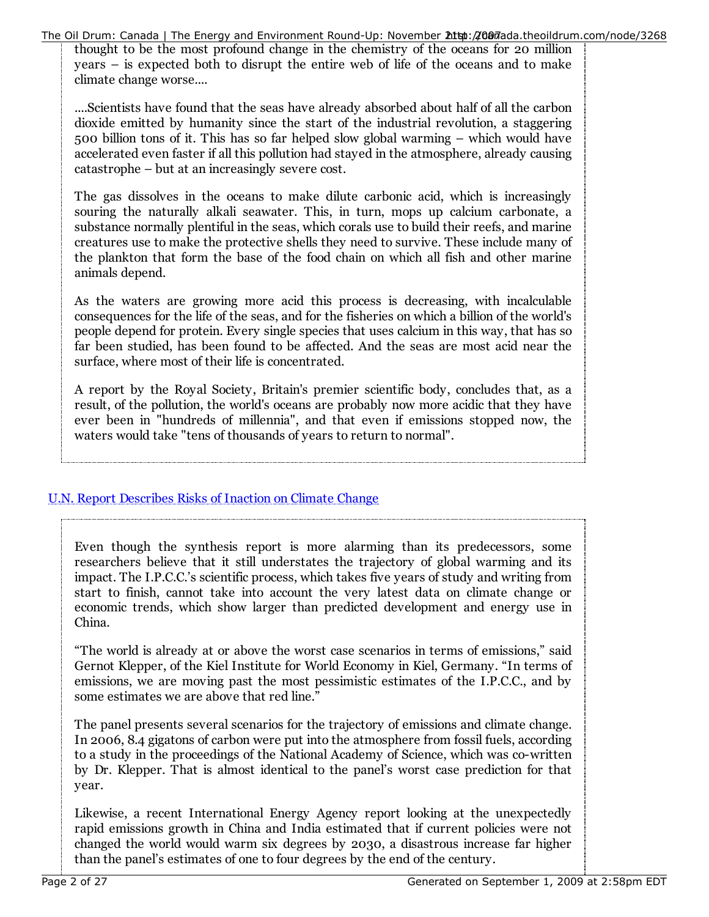thought to be the most profound change in the chemistry of the oceans for 20 million years – is expected both to disrupt the entire web of life of the oceans and to make climate change worse....

....Scientists have found that the seas have already absorbed about half of all the carbon dioxide emitted by humanity since the start of the industrial revolution, a staggering 500 billion tons of it. This has so far helped slow global warming – which would have accelerated even faster if all this pollution had stayed in the atmosphere, already causing catastrophe – but at an increasingly severe cost.

The gas dissolves in the oceans to make dilute carbonic acid, which is increasingly souring the naturally alkali seawater. This, in turn, mops up calcium carbonate, a substance normally plentiful in the seas, which corals use to build their reefs, and marine creatures use to make the protective shells they need to survive. These include many of the plankton that form the base of the food chain on which all fish and other marine animals depend.

As the waters are growing more acid this process is decreasing, with incalculable consequences for the life of the seas, and for the fisheries on which a billion of the world's people depend for protein. Every single species that uses calcium in this way, that has so far been studied, has been found to be affected. And the seas are most acid near the surface, where most of their life is concentrated.

A report by the Royal Society, Britain's premier scientific body, concludes that, as a result, of the pollution, the world's oceans are probably now more acidic that they have ever been in "hundreds of millennia", and that even if emissions stopped now, the waters would take "tens of thousands of years to return to normal".

## U.N. Report Describes Risks of Inaction on Climate Change

Even though the synthesis report is more alarming than its predecessors, some researchers believe that it still understates the trajectory of global warming and its impact. The I.P.C.C.'s scientific process, which takes five years of study and writing from start to finish, cannot take into account the very latest data on climate change or economic trends, which show larger than predicted development and energy use in China.

"The world is already at or above the worst case scenarios in terms of emissions," said Gernot Klepper, of the Kiel Institute for World Economy in Kiel, Germany. "In terms of emissions, we are moving past the most pessimistic estimates of the I.P.C.C., and by some estimates we are above that red line."

The panel presents several scenarios for the trajectory of emissions and climate change. In 2006, 8.4 gigatons of carbon were put into the atmosphere from fossil fuels, according to a study in the proceedings of the National Academy of Science, which was co-written by Dr. Klepper. That is almost identical to the panel's worst case prediction for that year.

Likewise, a recent International Energy Agency report looking at the unexpectedly rapid emissions growth in China and India estimated that if current policies were not changed the world would warm six degrees by 2030, a disastrous increase far higher than the panel's estimates of one to four degrees by the end of the century.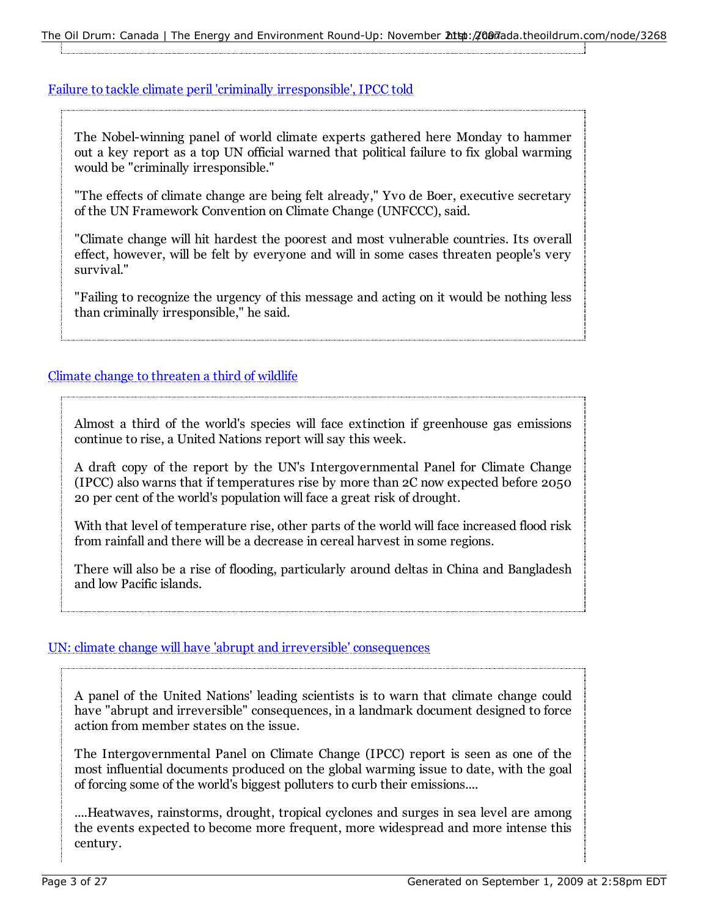## Failure to tackle climate peril 'criminally irresponsible', IPCC told

The Nobel-winning panel of world climate experts gathered here Monday to hammer out a key report as a top UN official warned that political failure to fix global warming would be "criminally irresponsible."

"The effects of climate change are being felt already," Yvo de Boer, executive secretary of the UN Framework Convention on Climate Change (UNFCCC), said.

"Climate change will hit hardest the poorest and most vulnerable countries. Its overall effect, however, will be felt by everyone and will in some cases threaten people's very survival."

"Failing to recognize the urgency of this message and acting on it would be nothing less than criminally irresponsible," he said.

## Climate change to threaten a third of wildlife

Almost a third of the world's species will face extinction if greenhouse gas emissions continue to rise, a United Nations report will say this week.

A draft copy of the report by the UN's Intergovernmental Panel for Climate Change (IPCC) also warns that if temperatures rise by more than 2C now expected before 2050 20 per cent of the world's population will face a great risk of drought.

With that level of temperature rise, other parts of the world will face increased flood risk from rainfall and there will be a decrease in cereal harvest in some regions.

There will also be a rise of flooding, particularly around deltas in China and Bangladesh and low Pacific islands.

## UN: climate change will have 'abrupt and irreversible' consequences

A panel of the United Nations' leading scientists is to warn that climate change could have "abrupt and irreversible" consequences, in a landmark document designed to force action from member states on the issue.

The Intergovernmental Panel on Climate Change (IPCC) report is seen as one of the most influential documents produced on the global warming issue to date, with the goal of forcing some of the world's biggest polluters to curb their emissions....

....Heatwaves, rainstorms, drought, tropical cyclones and surges in sea level are among the events expected to become more frequent, more widespread and more intense this century.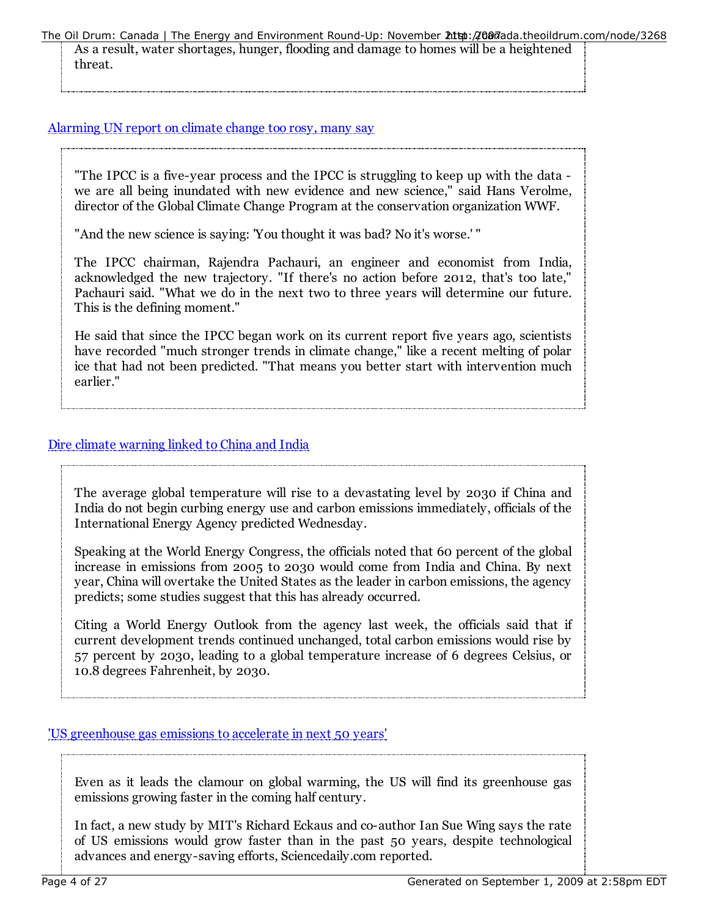As a result, water shortages, hunger, flooding and damage to homes will be a heightened threat.

#### Alarming UN report on climate change too rosy, many say

"The IPCC is a five-year process and the IPCC is struggling to keep up with the data we are all being inundated with new evidence and new science," said Hans Verolme, director of the Global Climate Change Program at the conservation organization WWF.

"And the new science is saying: 'You thought it was bad? No it's worse.' "

The IPCC chairman, Rajendra Pachauri, an engineer and economist from India, acknowledged the new trajectory. "If there's no action before 2012, that's too late," Pachauri said. "What we do in the next two to three years will determine our future. This is the defining moment."

He said that since the IPCC began work on its current report five years ago, scientists have recorded "much stronger trends in climate change," like a recent melting of polar ice that had not been predicted. "That means you better start with intervention much earlier."

## Dire climate warning linked to China and India

The average global temperature will rise to a devastating level by 2030 if China and India do not begin curbing energy use and carbon emissions immediately, officials of the International Energy Agency predicted Wednesday.

Speaking at the World Energy Congress, the officials noted that 60 percent of the global increase in emissions from 2005 to 2030 would come from India and China. By next year, China will overtake the United States as the leader in carbon emissions, the agency predicts; some studies suggest that this has already occurred.

Citing a World Energy Outlook from the agency last week, the officials said that if current development trends continued unchanged, total carbon emissions would rise by 57 percent by 2030, leading to a global temperature increase of 6 degrees Celsius, or 10.8 degrees Fahrenheit, by 2030.

#### 'US greenhouse gas emissions to accelerate in next 50 years'

Even as it leads the clamour on global warming, the US will find its greenhouse gas emissions growing faster in the coming half century.

In fact, a new study by MIT's Richard Eckaus and co-author Ian Sue Wing says the rate of US emissions would grow faster than in the past 50 years, despite technological advances and energy-saving efforts, Sciencedaily.com reported.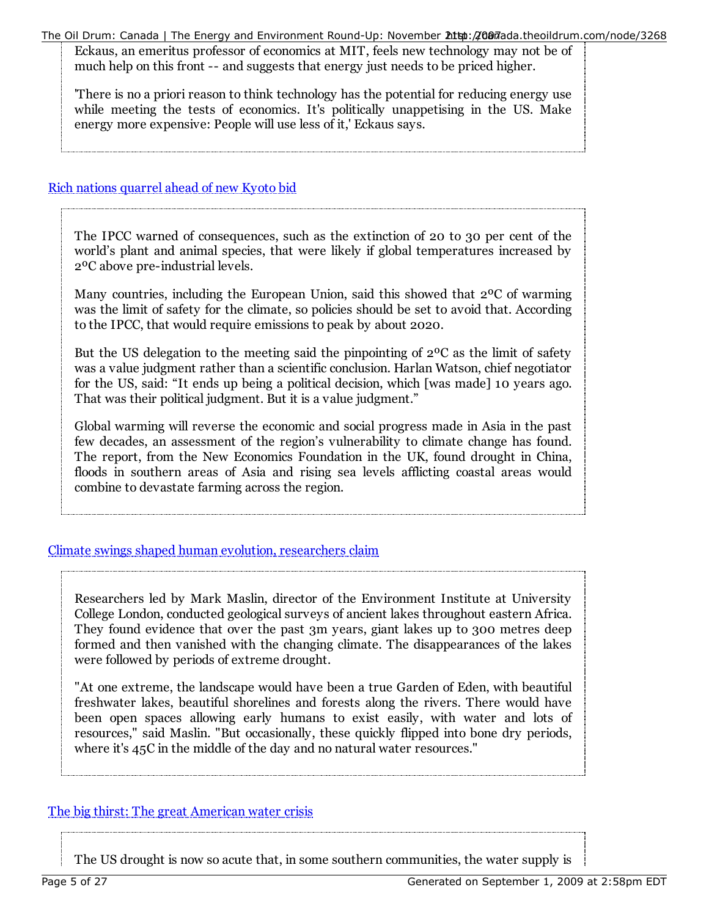Eckaus, an emeritus professor of economics at MIT, feels new technology may not be of much help on this front -- and suggests that energy just needs to be priced higher.

'There is no a priori reason to think technology has the potential for reducing energy use while meeting the tests of economics. It's politically unappetising in the US. Make energy more expensive: People will use less of it,' Eckaus says.

## Rich nations quarrel ahead of new Kyoto bid

The IPCC warned of consequences, such as the extinction of 20 to 30 per cent of the world's plant and animal species, that were likely if global temperatures increased by 2ºC above pre-industrial levels.

Many countries, including the European Union, said this showed that 2<sup>o</sup>C of warming was the limit of safety for the climate, so policies should be set to avoid that. According to the IPCC, that would require emissions to peak by about 2020.

But the US delegation to the meeting said the pinpointing of  $2^{\circ}C$  as the limit of safety was a value judgment rather than a scientific conclusion. Harlan Watson, chief negotiator for the US, said: "It ends up being a political decision, which [was made] 10 years ago. That was their political judgment. But it is a value judgment."

Global warming will reverse the economic and social progress made in Asia in the past few decades, an assessment of the region's vulnerability to climate change has found. The report, from the New Economics Foundation in the UK, found drought in China, floods in southern areas of Asia and rising sea levels afflicting coastal areas would combine to devastate farming across the region.

## Climate swings shaped human evolution, researchers claim

Researchers led by Mark Maslin, director of the Environment Institute at University College London, conducted geological surveys of ancient lakes throughout eastern Africa. They found evidence that over the past 3m years, giant lakes up to 300 metres deep formed and then vanished with the changing climate. The disappearances of the lakes were followed by periods of extreme drought.

"At one extreme, the landscape would have been a true Garden of Eden, with beautiful freshwater lakes, beautiful shorelines and forests along the rivers. There would have been open spaces allowing early humans to exist easily, with water and lots of resources," said Maslin. "But occasionally, these quickly flipped into bone dry periods, where it's 45C in the middle of the day and no natural water resources."

## The big thirst: The great American water crisis

The US drought is now so acute that, in some southern communities, the water supply is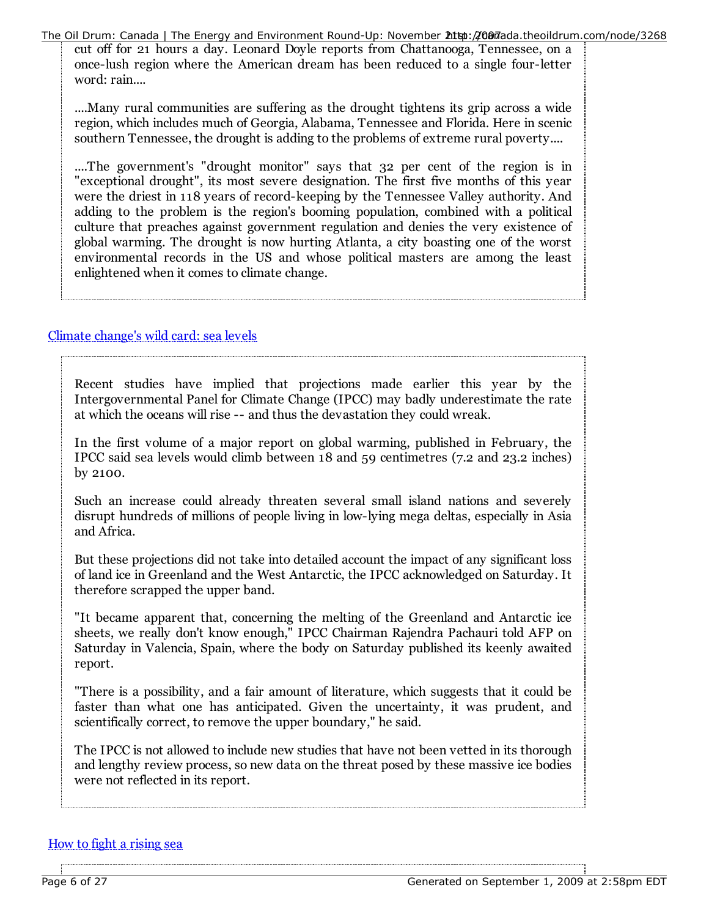cut off for 21 hours a day. Leonard Doyle reports from Chattanooga, Tennessee, on a once-lush region where the American dream has been reduced to a single four-letter word: rain....

....Many rural communities are suffering as the drought tightens its grip across a wide region, which includes much of Georgia, Alabama, Tennessee and Florida. Here in scenic southern Tennessee, the drought is adding to the problems of extreme rural poverty....

....The government's "drought monitor" says that 32 per cent of the region is in "exceptional drought", its most severe designation. The first five months of this year were the driest in 118 years of record-keeping by the Tennessee Valley authority. And adding to the problem is the region's booming population, combined with a political culture that preaches against government regulation and denies the very existence of global warming. The drought is now hurting Atlanta, a city boasting one of the worst environmental records in the US and whose political masters are among the least enlightened when it comes to climate change.

#### Climate change's wild card: sea levels

Recent studies have implied that projections made earlier this year by the Intergovernmental Panel for Climate Change (IPCC) may badly underestimate the rate at which the oceans will rise -- and thus the devastation they could wreak.

In the first volume of a major report on global warming, published in February, the IPCC said sea levels would climb between 18 and 59 centimetres (7.2 and 23.2 inches) by 2100.

Such an increase could already threaten several small island nations and severely disrupt hundreds of millions of people living in low-lying mega deltas, especially in Asia and Africa.

But these projections did not take into detailed account the impact of any significant loss of land ice in Greenland and the West Antarctic, the IPCC acknowledged on Saturday. It therefore scrapped the upper band.

"It became apparent that, concerning the melting of the Greenland and Antarctic ice sheets, we really don't know enough," IPCC Chairman Rajendra Pachauri told AFP on Saturday in Valencia, Spain, where the body on Saturday published its keenly awaited report.

"There is a possibility, and a fair amount of literature, which suggests that it could be faster than what one has anticipated. Given the uncertainty, it was prudent, and scientifically correct, to remove the upper boundary," he said.

The IPCC is not allowed to include new studies that have not been vetted in its thorough and lengthy review process, so new data on the threat posed by these massive ice bodies were not reflected in its report.

## How to fight a rising sea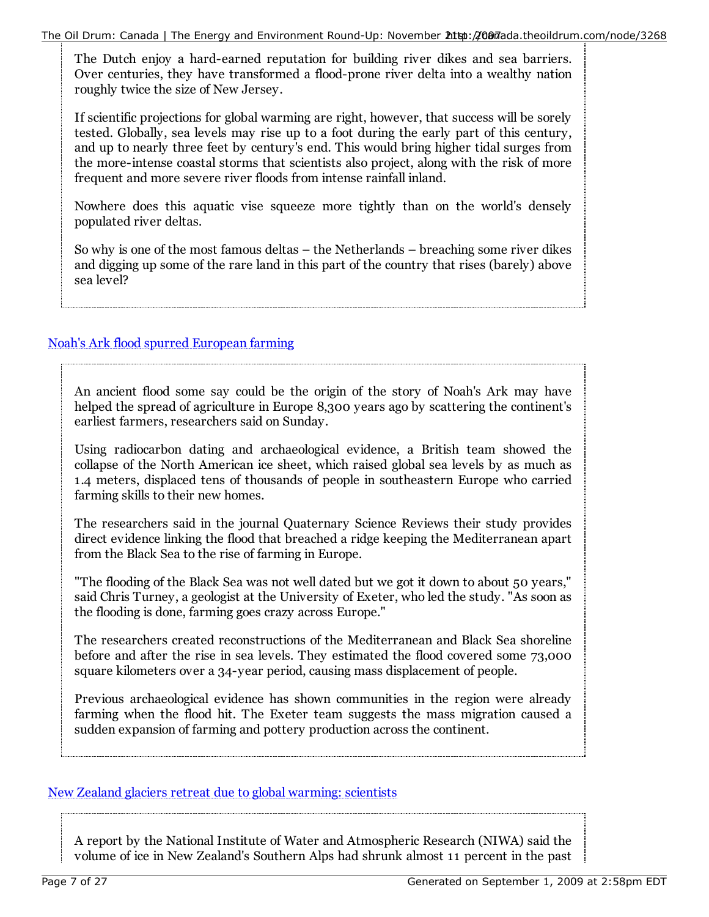The Dutch enjoy a hard-earned reputation for building river dikes and sea barriers. Over centuries, they have transformed a flood-prone river delta into a wealthy nation roughly twice the size of New Jersey.

If scientific projections for global warming are right, however, that success will be sorely tested. Globally, sea levels may rise up to a foot during the early part of this century, and up to nearly three feet by century's end. This would bring higher tidal surges from the more-intense coastal storms that scientists also project, along with the risk of more frequent and more severe river floods from intense rainfall inland.

Nowhere does this aquatic vise squeeze more tightly than on the world's densely populated river deltas.

So why is one of the most famous deltas – the Netherlands – breaching some river dikes and digging up some of the rare land in this part of the country that rises (barely) above sea level?

# Noah's Ark flood spurred European farming

An ancient flood some say could be the origin of the story of Noah's Ark may have helped the spread of agriculture in Europe 8,300 years ago by scattering the continent's earliest farmers, researchers said on Sunday.

Using radiocarbon dating and archaeological evidence, a British team showed the collapse of the North American ice sheet, which raised global sea levels by as much as 1.4 meters, displaced tens of thousands of people in southeastern Europe who carried farming skills to their new homes.

The researchers said in the journal Quaternary Science Reviews their study provides direct evidence linking the flood that breached a ridge keeping the Mediterranean apart from the Black Sea to the rise of farming in Europe.

"The flooding of the Black Sea was not well dated but we got it down to about 50 years," said Chris Turney, a geologist at the University of Exeter, who led the study. "As soon as the flooding is done, farming goes crazy across Europe."

The researchers created reconstructions of the Mediterranean and Black Sea shoreline before and after the rise in sea levels. They estimated the flood covered some 73,000 square kilometers over a 34-year period, causing mass displacement of people.

Previous archaeological evidence has shown communities in the region were already farming when the flood hit. The Exeter team suggests the mass migration caused a sudden expansion of farming and pottery production across the continent.

# New Zealand glaciers retreat due to global warming: scientists

A report by the National Institute of Water and Atmospheric Research (NIWA) said the volume of ice in New Zealand's Southern Alps had shrunk almost 11 percent in the past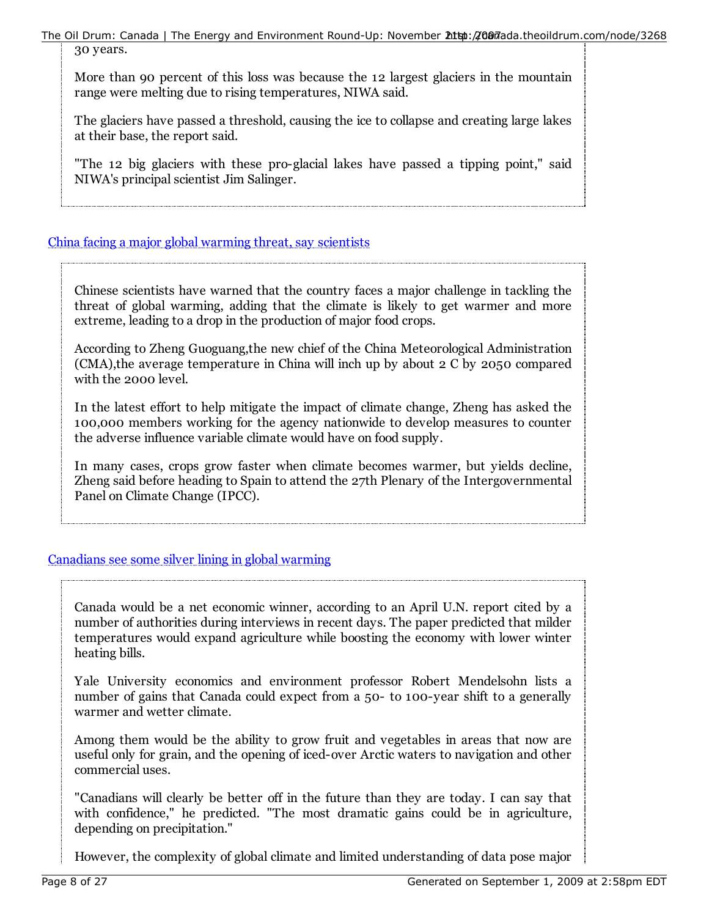More than 90 percent of this loss was because the 12 largest glaciers in the mountain range were melting due to rising temperatures, NIWA said.

The glaciers have passed a threshold, causing the ice to collapse and creating large lakes at their base, the report said.

"The 12 big glaciers with these pro-glacial lakes have passed a tipping point," said NIWA's principal scientist Jim Salinger.

# China facing a major global warming threat, say scientists

Chinese scientists have warned that the country faces a major challenge in tackling the threat of global warming, adding that the climate is likely to get warmer and more extreme, leading to a drop in the production of major food crops.

According to Zheng Guoguang,the new chief of the China Meteorological Administration (CMA),the average temperature in China will inch up by about 2 C by 2050 compared with the 2000 level.

In the latest effort to help mitigate the impact of climate change, Zheng has asked the 100,000 members working for the agency nationwide to develop measures to counter the adverse influence variable climate would have on food supply.

In many cases, crops grow faster when climate becomes warmer, but yields decline, Zheng said before heading to Spain to attend the 27th Plenary of the Intergovernmental Panel on Climate Change (IPCC).

## Canadians see some silver lining in global warming

Canada would be a net economic winner, according to an April U.N. report cited by a number of authorities during interviews in recent days. The paper predicted that milder temperatures would expand agriculture while boosting the economy with lower winter heating bills.

Yale University economics and environment professor Robert Mendelsohn lists a number of gains that Canada could expect from a 50- to 100-year shift to a generally warmer and wetter climate.

Among them would be the ability to grow fruit and vegetables in areas that now are useful only for grain, and the opening of iced-over Arctic waters to navigation and other commercial uses.

"Canadians will clearly be better off in the future than they are today. I can say that with confidence," he predicted. "The most dramatic gains could be in agriculture, depending on precipitation."

However, the complexity of global climate and limited understanding of data pose major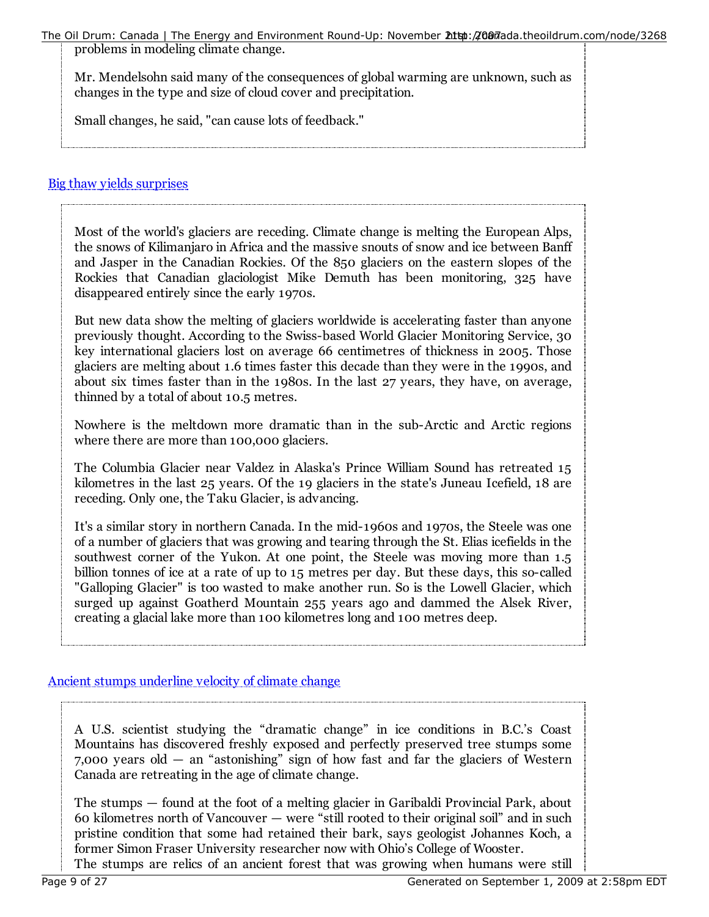problems in modeling climate change. The Oil Drum: Canada | The Energy and Environment Round-Up: November 21tst: /2007ada.theoildrum.com/node/3268

Mr. Mendelsohn said many of the consequences of global warming are unknown, such as changes in the type and size of cloud cover and precipitation.

Small changes, he said, "can cause lots of feedback."

#### Big thaw yields surprises

Most of the world's glaciers are receding. Climate change is melting the European Alps, the snows of Kilimanjaro in Africa and the massive snouts of snow and ice between Banff and Jasper in the Canadian Rockies. Of the 850 glaciers on the eastern slopes of the Rockies that Canadian glaciologist Mike Demuth has been monitoring, 325 have disappeared entirely since the early 1970s.

But new data show the melting of glaciers worldwide is accelerating faster than anyone previously thought. According to the Swiss-based World Glacier Monitoring Service, 30 key international glaciers lost on average 66 centimetres of thickness in 2005. Those glaciers are melting about 1.6 times faster this decade than they were in the 1990s, and about six times faster than in the 1980s. In the last 27 years, they have, on average, thinned by a total of about 10.5 metres.

Nowhere is the meltdown more dramatic than in the sub-Arctic and Arctic regions where there are more than 100,000 glaciers.

The Columbia Glacier near Valdez in Alaska's Prince William Sound has retreated 15 kilometres in the last 25 years. Of the 19 glaciers in the state's Juneau Icefield, 18 are receding. Only one, the Taku Glacier, is advancing.

It's a similar story in northern Canada. In the mid-1960s and 1970s, the Steele was one of a number of glaciers that was growing and tearing through the St. Elias icefields in the southwest corner of the Yukon. At one point, the Steele was moving more than 1.5 billion tonnes of ice at a rate of up to 15 metres per day. But these days, this so-called "Galloping Glacier" is too wasted to make another run. So is the Lowell Glacier, which surged up against Goatherd Mountain 255 years ago and dammed the Alsek River, creating a glacial lake more than 100 kilometres long and 100 metres deep.

## Ancient stumps underline velocity of climate change

A U.S. scientist studying the "dramatic change" in ice conditions in B.C.'s Coast Mountains has discovered freshly exposed and perfectly preserved tree stumps some 7,000 years old — an "astonishing" sign of how fast and far the glaciers of Western Canada are retreating in the age of climate change.

The stumps — found at the foot of a melting glacier in Garibaldi Provincial Park, about 60 kilometres north of Vancouver — were "still rooted to their original soil" and in such pristine condition that some had retained their bark, says geologist Johannes Koch, a former Simon Fraser University researcher now with Ohio's College of Wooster. The stumps are relics of an ancient forest that was growing when humans were still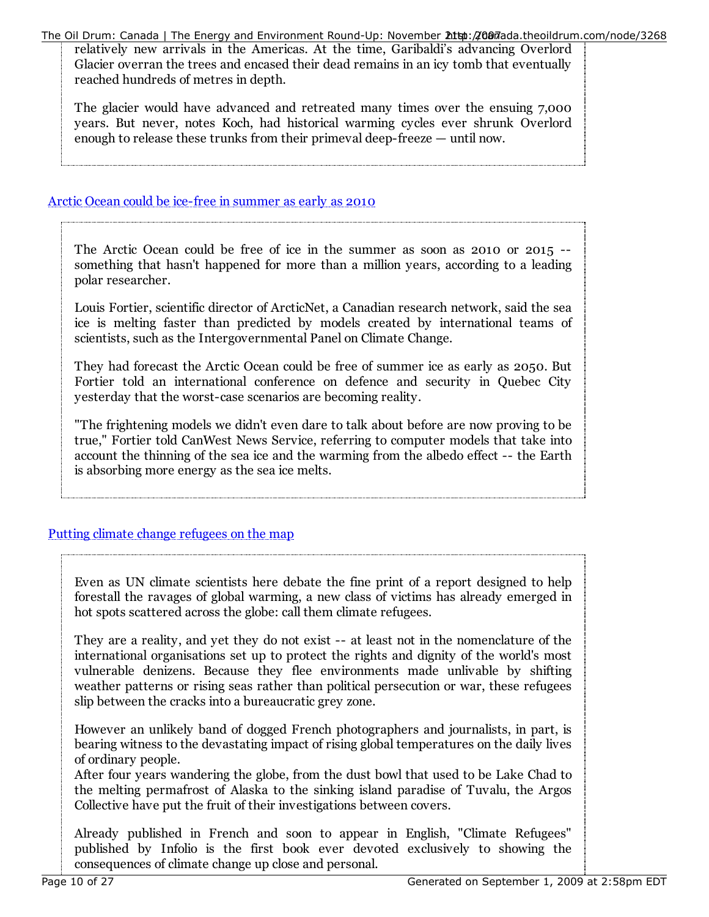relatively new arrivals in the Americas. At the time, Garibaldi's advancing Overlord Glacier overran the trees and encased their dead remains in an icy tomb that eventually reached hundreds of metres in depth.

The glacier would have advanced and retreated many times over the ensuing 7,000 years. But never, notes Koch, had historical warming cycles ever shrunk Overlord enough to release these trunks from their primeval deep-freeze — until now.

## Arctic Ocean could be ice-free in summer as early as 2010

The Arctic Ocean could be free of ice in the summer as soon as 2010 or 2015 - something that hasn't happened for more than a million years, according to a leading polar researcher.

Louis Fortier, scientific director of ArcticNet, a Canadian research network, said the sea ice is melting faster than predicted by models created by international teams of scientists, such as the Intergovernmental Panel on Climate Change.

They had forecast the Arctic Ocean could be free of summer ice as early as 2050. But Fortier told an international conference on defence and security in Quebec City yesterday that the worst-case scenarios are becoming reality.

"The frightening models we didn't even dare to talk about before are now proving to be true," Fortier told CanWest News Service, referring to computer models that take into account the thinning of the sea ice and the warming from the albedo effect -- the Earth is absorbing more energy as the sea ice melts.

## Putting climate change refugees on the map

Even as UN climate scientists here debate the fine print of a report designed to help forestall the ravages of global warming, a new class of victims has already emerged in hot spots scattered across the globe: call them climate refugees.

They are a reality, and yet they do not exist -- at least not in the nomenclature of the international organisations set up to protect the rights and dignity of the world's most vulnerable denizens. Because they flee environments made unlivable by shifting weather patterns or rising seas rather than political persecution or war, these refugees slip between the cracks into a bureaucratic grey zone.

However an unlikely band of dogged French photographers and journalists, in part, is bearing witness to the devastating impact of rising global temperatures on the daily lives of ordinary people.

After four years wandering the globe, from the dust bowl that used to be Lake Chad to the melting permafrost of Alaska to the sinking island paradise of Tuvalu, the Argos Collective have put the fruit of their investigations between covers.

Already published in French and soon to appear in English, "Climate Refugees" published by Infolio is the first book ever devoted exclusively to showing the consequences of climate change up close and personal.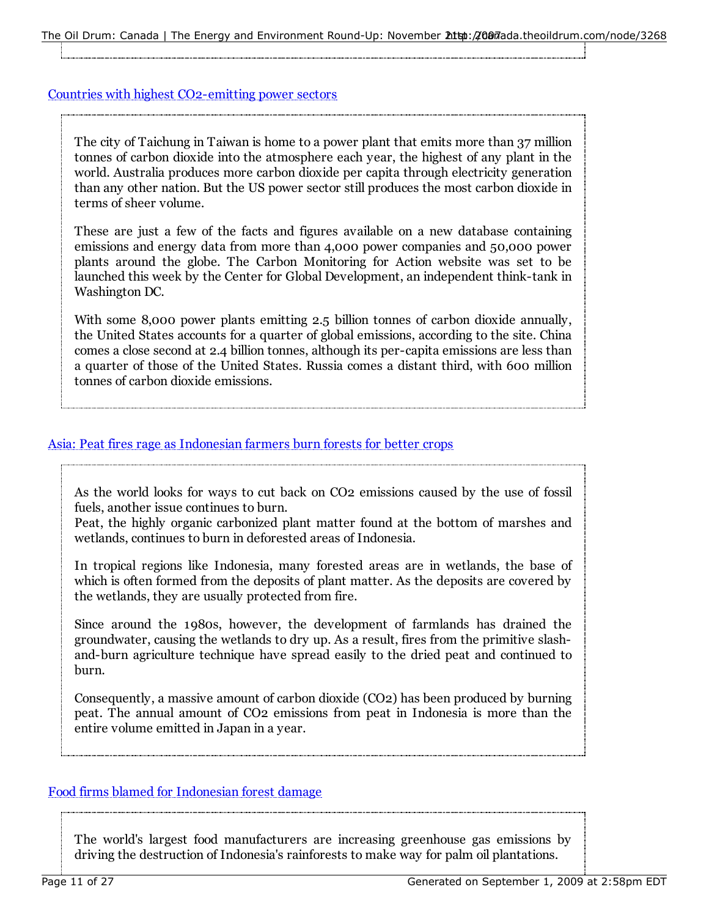#### Countries with highest CO2-emitting power sectors

The city of Taichung in Taiwan is home to a power plant that emits more than 37 million tonnes of carbon dioxide into the atmosphere each year, the highest of any plant in the world. Australia produces more carbon dioxide per capita through electricity generation than any other nation. But the US power sector still produces the most carbon dioxide in terms of sheer volume.

These are just a few of the facts and figures available on a new database containing emissions and energy data from more than 4,000 power companies and 50,000 power plants around the globe. The Carbon Monitoring for Action website was set to be launched this week by the Center for Global Development, an independent think-tank in Washington DC.

With some 8,000 power plants emitting 2.5 billion tonnes of carbon dioxide annually, the United States accounts for a quarter of global emissions, according to the site. China comes a close second at 2.4 billion tonnes, although its per-capita emissions are less than a quarter of those of the United States. Russia comes a distant third, with 600 million tonnes of carbon dioxide emissions.

#### Asia: Peat fires rage as Indonesian farmers burn forests for better crops

As the world looks for ways to cut back on CO2 emissions caused by the use of fossil fuels, another issue continues to burn.

Peat, the highly organic carbonized plant matter found at the bottom of marshes and wetlands, continues to burn in deforested areas of Indonesia.

In tropical regions like Indonesia, many forested areas are in wetlands, the base of which is often formed from the deposits of plant matter. As the deposits are covered by the wetlands, they are usually protected from fire.

Since around the 1980s, however, the development of farmlands has drained the groundwater, causing the wetlands to dry up. As a result, fires from the primitive slashand-burn agriculture technique have spread easily to the dried peat and continued to burn.

Consequently, a massive amount of carbon dioxide (CO2) has been produced by burning peat. The annual amount of CO2 emissions from peat in Indonesia is more than the entire volume emitted in Japan in a year.

#### Food firms blamed for Indonesian forest damage

The world's largest food manufacturers are increasing greenhouse gas emissions by driving the destruction of Indonesia's rainforests to make way for palm oil plantations.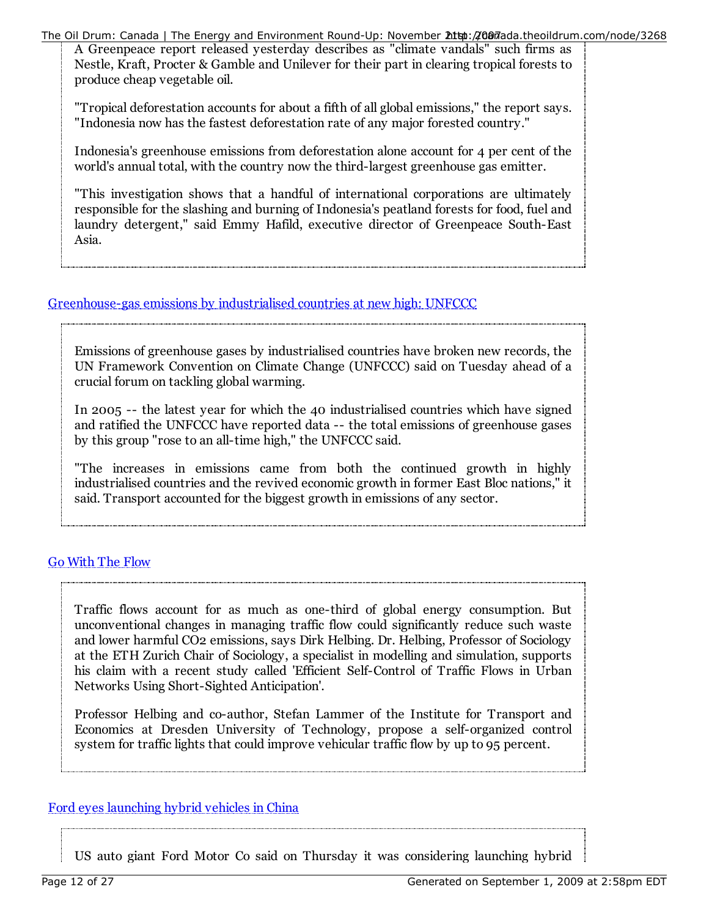A Greenpeace report released yesterday describes as "climate vandals" such firms as Nestle, Kraft, Procter & Gamble and Unilever for their part in clearing tropical forests to produce cheap vegetable oil.

"Tropical deforestation accounts for about a fifth of all global emissions," the report says. "Indonesia now has the fastest deforestation rate of any major forested country."

Indonesia's greenhouse emissions from deforestation alone account for 4 per cent of the world's annual total, with the country now the third-largest greenhouse gas emitter.

"This investigation shows that a handful of international corporations are ultimately responsible for the slashing and burning of Indonesia's peatland forests for food, fuel and laundry detergent," said Emmy Hafild, executive director of Greenpeace South-East Asia.

#### Greenhouse-gas emissions by industrialised countries at new high: UNFCCC

Emissions of greenhouse gases by industrialised countries have broken new records, the UN Framework Convention on Climate Change (UNFCCC) said on Tuesday ahead of a crucial forum on tackling global warming.

In 2005 -- the latest year for which the 40 industrialised countries which have signed and ratified the UNFCCC have reported data -- the total emissions of greenhouse gases by this group "rose to an all-time high," the UNFCCC said.

"The increases in emissions came from both the continued growth in highly industrialised countries and the revived economic growth in former East Bloc nations," it said. Transport accounted for the biggest growth in emissions of any sector.

## Go With The Flow

Traffic flows account for as much as one-third of global energy consumption. But unconventional changes in managing traffic flow could significantly reduce such waste and lower harmful CO2 emissions, says Dirk Helbing. Dr. Helbing, Professor of Sociology at the ETH Zurich Chair of Sociology, a specialist in modelling and simulation, supports his claim with a recent study called 'Efficient Self-Control of Traffic Flows in Urban Networks Using Short-Sighted Anticipation'.

Professor Helbing and co-author, Stefan Lammer of the Institute for Transport and Economics at Dresden University of Technology, propose a self-organized control system for traffic lights that could improve vehicular traffic flow by up to 95 percent.

## Ford eyes launching hybrid vehicles in China

US auto giant Ford Motor Co said on Thursday it was considering launching hybrid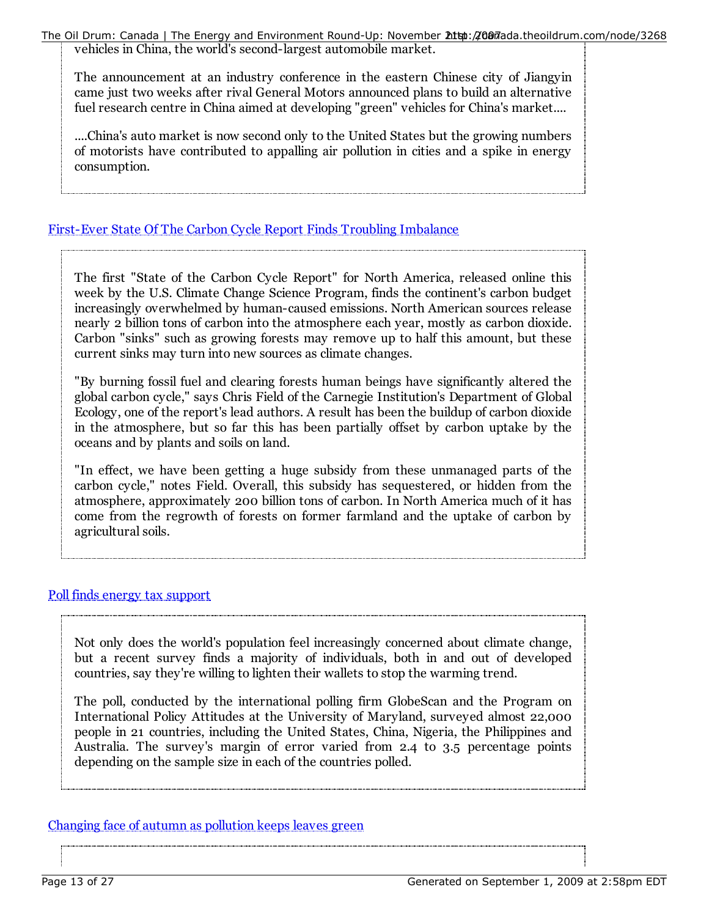vehicles in China, the world's second-largest automobile market. The Oil Drum: Canada | The Energy and Environment Round-Up: November 21tst: /2007ada.theoildrum.com/node/3268

The announcement at an industry conference in the eastern Chinese city of Jiangyin came just two weeks after rival General Motors announced plans to build an alternative fuel research centre in China aimed at developing "green" vehicles for China's market....

....China's auto market is now second only to the United States but the growing numbers of motorists have contributed to appalling air pollution in cities and a spike in energy consumption.

## First-Ever State Of The Carbon Cycle Report Finds Troubling Imbalance

The first "State of the Carbon Cycle Report" for North America, released online this week by the U.S. Climate Change Science Program, finds the continent's carbon budget increasingly overwhelmed by human-caused emissions. North American sources release nearly 2 billion tons of carbon into the atmosphere each year, mostly as carbon dioxide. Carbon "sinks" such as growing forests may remove up to half this amount, but these current sinks may turn into new sources as climate changes.

"By burning fossil fuel and clearing forests human beings have significantly altered the global carbon cycle," says Chris Field of the Carnegie Institution's Department of Global Ecology, one of the report's lead authors. A result has been the buildup of carbon dioxide in the atmosphere, but so far this has been partially offset by carbon uptake by the oceans and by plants and soils on land.

"In effect, we have been getting a huge subsidy from these unmanaged parts of the carbon cycle," notes Field. Overall, this subsidy has sequestered, or hidden from the atmosphere, approximately 200 billion tons of carbon. In North America much of it has come from the regrowth of forests on former farmland and the uptake of carbon by agricultural soils.

#### Poll finds energy tax support

Not only does the world's population feel increasingly concerned about climate change, but a recent survey finds a majority of individuals, both in and out of developed countries, say they're willing to lighten their wallets to stop the warming trend.

The poll, conducted by the international polling firm GlobeScan and the Program on International Policy Attitudes at the University of Maryland, surveyed almost 22,000 people in 21 countries, including the United States, China, Nigeria, the Philippines and Australia. The survey's margin of error varied from 2.4 to 3.5 percentage points depending on the sample size in each of the countries polled.

#### Changing face of autumn as pollution keeps leaves green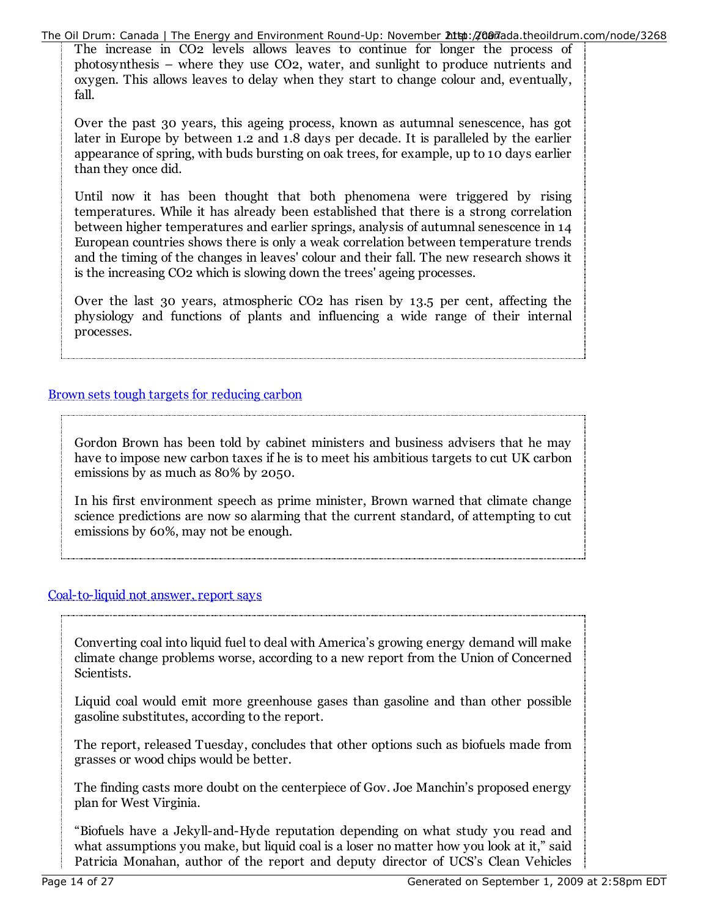The increase in CO2 levels allows leaves to continue for longer the process of photosynthesis – where they use CO2, water, and sunlight to produce nutrients and oxygen. This allows leaves to delay when they start to change colour and, eventually, fall.

Over the past 30 years, this ageing process, known as autumnal senescence, has got later in Europe by between 1.2 and 1.8 days per decade. It is paralleled by the earlier appearance of spring, with buds bursting on oak trees, for example, up to 10 days earlier than they once did.

Until now it has been thought that both phenomena were triggered by rising temperatures. While it has already been established that there is a strong correlation between higher temperatures and earlier springs, analysis of autumnal senescence in 14 European countries shows there is only a weak correlation between temperature trends and the timing of the changes in leaves' colour and their fall. The new research shows it is the increasing CO2 which is slowing down the trees' ageing processes.

Over the last 30 years, atmospheric CO2 has risen by 13.5 per cent, affecting the physiology and functions of plants and influencing a wide range of their internal processes.

## Brown sets tough targets for reducing carbon

Gordon Brown has been told by cabinet ministers and business advisers that he may have to impose new carbon taxes if he is to meet his ambitious targets to cut UK carbon emissions by as much as 80% by 2050.

In his first environment speech as prime minister, Brown warned that climate change science predictions are now so alarming that the current standard, of attempting to cut emissions by 60%, may not be enough.

## Coal-to-liquid not answer, report says

Converting coal into liquid fuel to deal with America's growing energy demand will make climate change problems worse, according to a new report from the Union of Concerned Scientists.

Liquid coal would emit more greenhouse gases than gasoline and than other possible gasoline substitutes, according to the report.

The report, released Tuesday, concludes that other options such as biofuels made from grasses or wood chips would be better.

The finding casts more doubt on the centerpiece of Gov. Joe Manchin's proposed energy plan for West Virginia.

"Biofuels have a Jekyll-and-Hyde reputation depending on what study you read and what assumptions you make, but liquid coal is a loser no matter how you look at it," said Patricia Monahan, author of the report and deputy director of UCS's Clean Vehicles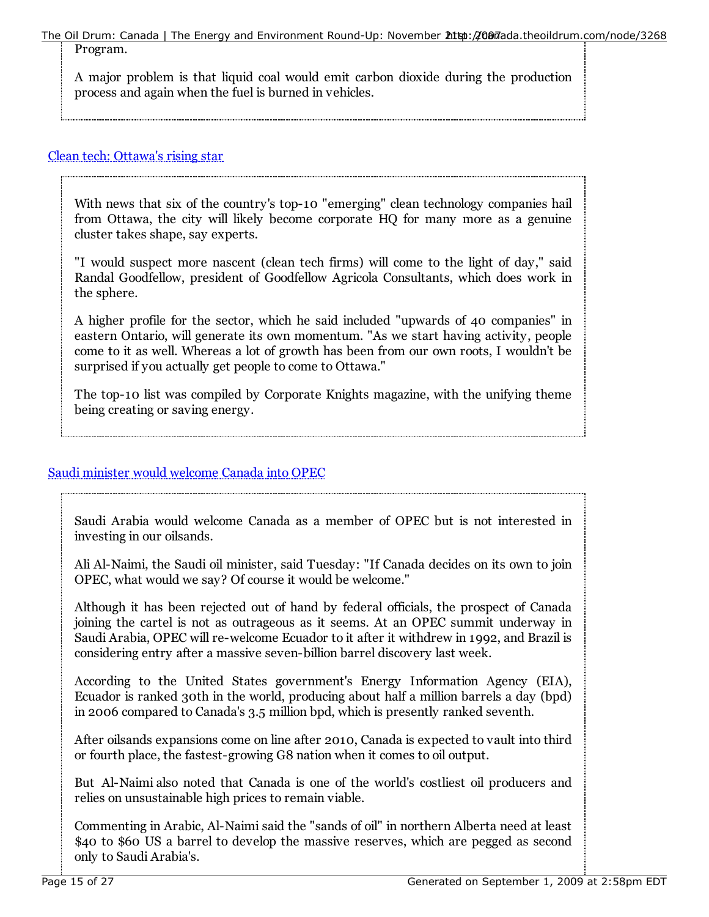A major problem is that liquid coal would emit carbon dioxide during the production process and again when the fuel is burned in vehicles.

#### Clean tech: Ottawa's rising star

With news that six of the country's top-10 "emerging" clean technology companies hail from Ottawa, the city will likely become corporate HQ for many more as a genuine cluster takes shape, say experts.

"I would suspect more nascent (clean tech firms) will come to the light of day," said Randal Goodfellow, president of Goodfellow Agricola Consultants, which does work in the sphere.

A higher profile for the sector, which he said included "upwards of 40 companies" in eastern Ontario, will generate its own momentum. "As we start having activity, people come to it as well. Whereas a lot of growth has been from our own roots, I wouldn't be surprised if you actually get people to come to Ottawa."

The top-10 list was compiled by Corporate Knights magazine, with the unifying theme being creating or saving energy.

## Saudi minister would welcome Canada into OPEC

Saudi Arabia would welcome Canada as a member of OPEC but is not interested in investing in our oilsands.

Ali Al-Naimi, the Saudi oil minister, said Tuesday: "If Canada decides on its own to join OPEC, what would we say? Of course it would be welcome."

Although it has been rejected out of hand by federal officials, the prospect of Canada joining the cartel is not as outrageous as it seems. At an OPEC summit underway in Saudi Arabia, OPEC will re-welcome Ecuador to it after it withdrew in 1992, and Brazil is considering entry after a massive seven-billion barrel discovery last week.

According to the United States government's Energy Information Agency (EIA), Ecuador is ranked 30th in the world, producing about half a million barrels a day (bpd) in 2006 compared to Canada's 3.5 million bpd, which is presently ranked seventh.

After oilsands expansions come on line after 2010, Canada is expected to vault into third or fourth place, the fastest-growing G8 nation when it comes to oil output.

But Al-Naimi also noted that Canada is one of the world's costliest oil producers and relies on unsustainable high prices to remain viable.

Commenting in Arabic, Al-Naimi said the "sands of oil" in northern Alberta need at least \$40 to \$60 US a barrel to develop the massive reserves, which are pegged as second only to Saudi Arabia's.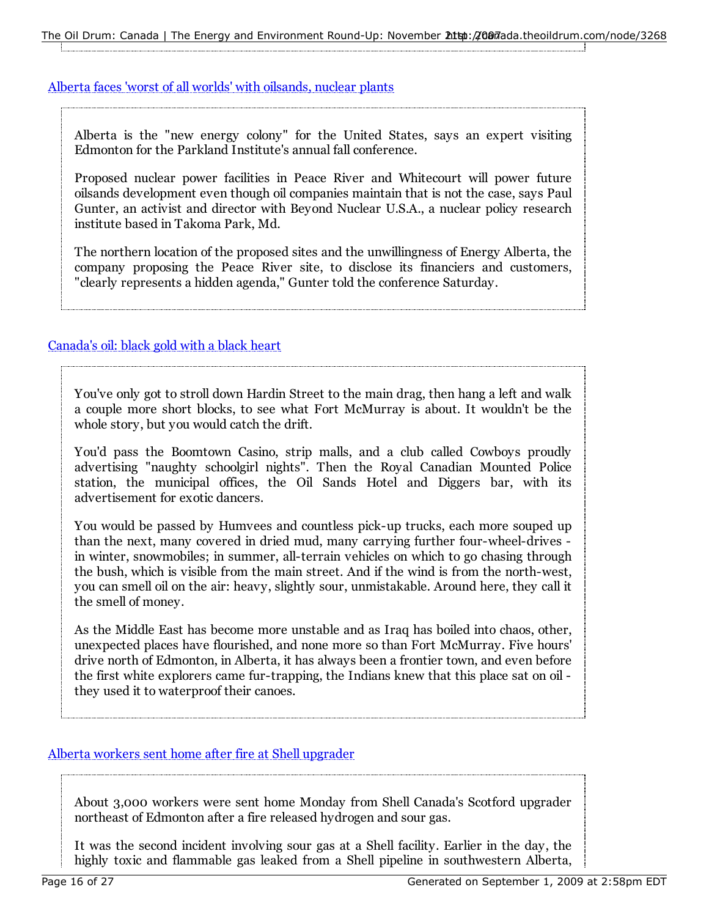#### Alberta faces 'worst of all worlds' with oilsands, nuclear plants

Alberta is the "new energy colony" for the United States, says an expert visiting Edmonton for the Parkland Institute's annual fall conference.

Proposed nuclear power facilities in Peace River and Whitecourt will power future oilsands development even though oil companies maintain that is not the case, says Paul Gunter, an activist and director with Beyond Nuclear U.S.A., a nuclear policy research institute based in Takoma Park, Md.

The northern location of the proposed sites and the unwillingness of Energy Alberta, the company proposing the Peace River site, to disclose its financiers and customers, "clearly represents a hidden agenda," Gunter told the conference Saturday.

#### Canada's oil: black gold with a black heart

You've only got to stroll down Hardin Street to the main drag, then hang a left and walk a couple more short blocks, to see what Fort McMurray is about. It wouldn't be the whole story, but you would catch the drift.

You'd pass the Boomtown Casino, strip malls, and a club called Cowboys proudly advertising "naughty schoolgirl nights". Then the Royal Canadian Mounted Police station, the municipal offices, the Oil Sands Hotel and Diggers bar, with its advertisement for exotic dancers.

You would be passed by Humvees and countless pick-up trucks, each more souped up than the next, many covered in dried mud, many carrying further four-wheel-drives in winter, snowmobiles; in summer, all-terrain vehicles on which to go chasing through the bush, which is visible from the main street. And if the wind is from the north-west, you can smell oil on the air: heavy, slightly sour, unmistakable. Around here, they call it the smell of money.

As the Middle East has become more unstable and as Iraq has boiled into chaos, other, unexpected places have flourished, and none more so than Fort McMurray. Five hours' drive north of Edmonton, in Alberta, it has always been a frontier town, and even before the first white explorers came fur-trapping, the Indians knew that this place sat on oil they used it to waterproof their canoes.

#### Alberta workers sent home after fire at Shell upgrader

About 3,000 workers were sent home Monday from Shell Canada's Scotford upgrader northeast of Edmonton after a fire released hydrogen and sour gas.

It was the second incident involving sour gas at a Shell facility. Earlier in the day, the highly toxic and flammable gas leaked from a Shell pipeline in southwestern Alberta,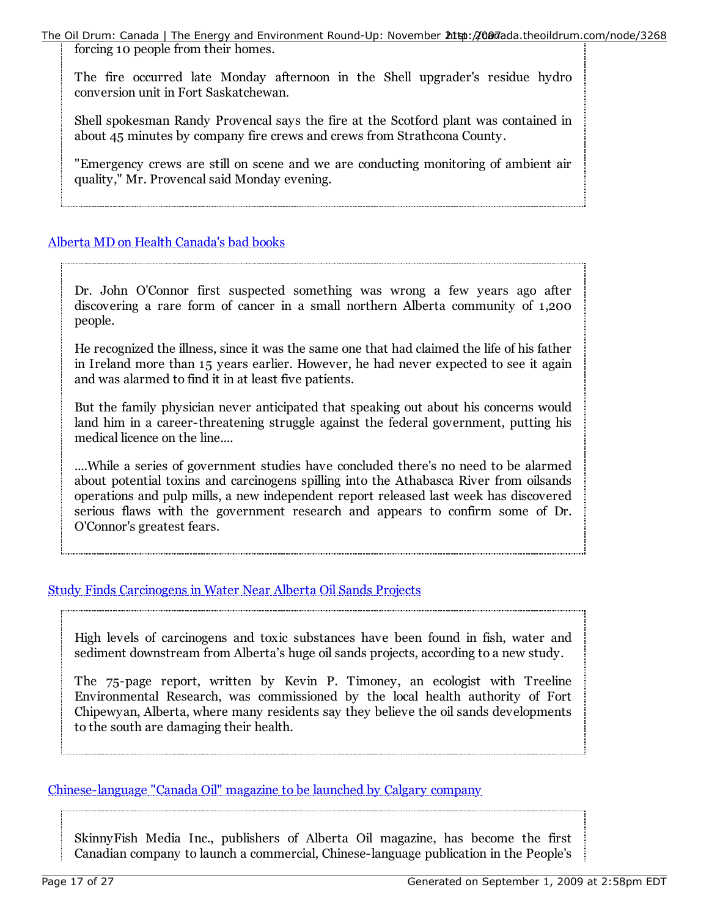forcing 10 people from their homes. The Oil Drum: Canada | The Energy and Environment Round-Up: November 21tst: /2007ada.theoildrum.com/node/3268

The fire occurred late Monday afternoon in the Shell upgrader's residue hydro conversion unit in Fort Saskatchewan.

Shell spokesman Randy Provencal says the fire at the Scotford plant was contained in about 45 minutes by company fire crews and crews from Strathcona County.

"Emergency crews are still on scene and we are conducting monitoring of ambient air quality," Mr. Provencal said Monday evening.

# Alberta MD on Health Canada's bad books

Dr. John O'Connor first suspected something was wrong a few years ago after discovering a rare form of cancer in a small northern Alberta community of 1,200 people.

He recognized the illness, since it was the same one that had claimed the life of his father in Ireland more than 15 years earlier. However, he had never expected to see it again and was alarmed to find it in at least five patients.

But the family physician never anticipated that speaking out about his concerns would land him in a career-threatening struggle against the federal government, putting his medical licence on the line....

....While a series of government studies have concluded there's no need to be alarmed about potential toxins and carcinogens spilling into the Athabasca River from oilsands operations and pulp mills, a new independent report released last week has discovered serious flaws with the government research and appears to confirm some of Dr. O'Connor's greatest fears.

## Study Finds Carcinogens in Water Near Alberta Oil Sands Projects

High levels of carcinogens and toxic substances have been found in fish, water and sediment downstream from Alberta's huge oil sands projects, according to a new study.

The 75-page report, written by Kevin P. Timoney, an ecologist with Treeline Environmental Research, was commissioned by the local health authority of Fort Chipewyan, Alberta, where many residents say they believe the oil sands developments to the south are damaging their health.

Chinese-language "Canada Oil" magazine to be launched by Calgary company

SkinnyFish Media Inc., publishers of Alberta Oil magazine, has become the first Canadian company to launch a commercial, Chinese-language publication in the People's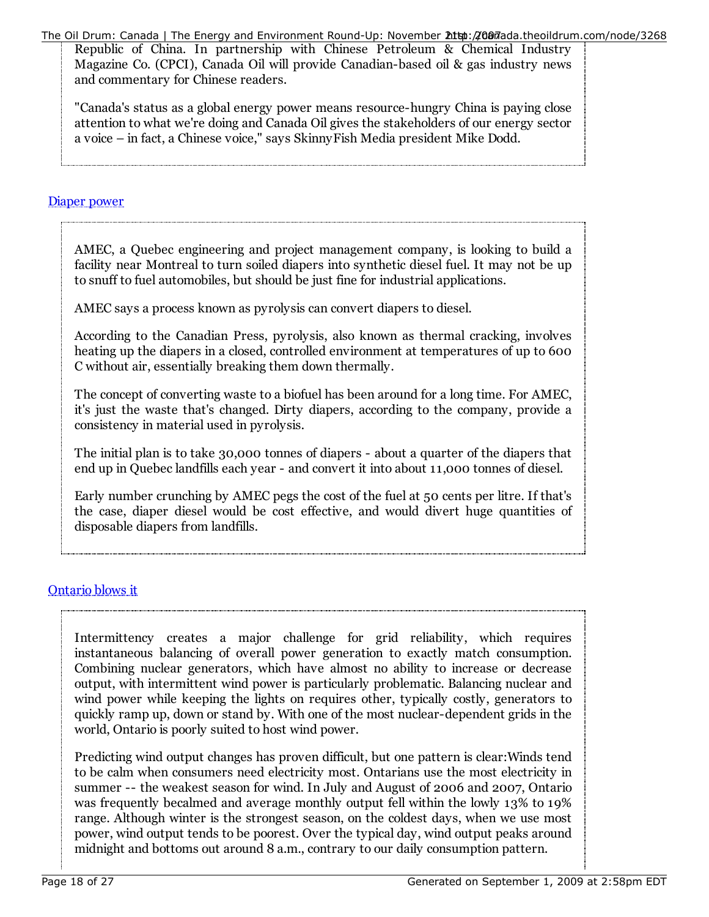Republic of China. In partnership with Chinese Petroleum & Chemical Industry Magazine Co. (CPCI), Canada Oil will provide Canadian-based oil & gas industry news and commentary for Chinese readers.

"Canada's status as a global energy power means resource-hungry China is paying close attention to what we're doing and Canada Oil gives the stakeholders of our energy sector a voice – in fact, a Chinese voice," says SkinnyFish Media president Mike Dodd.

#### Diaper power

AMEC, a Quebec engineering and project management company, is looking to build a facility near Montreal to turn soiled diapers into synthetic diesel fuel. It may not be up to snuff to fuel automobiles, but should be just fine for industrial applications.

AMEC says a process known as pyrolysis can convert diapers to diesel.

According to the Canadian Press, pyrolysis, also known as thermal cracking, involves heating up the diapers in a closed, controlled environment at temperatures of up to 600 C without air, essentially breaking them down thermally.

The concept of converting waste to a biofuel has been around for a long time. For AMEC, it's just the waste that's changed. Dirty diapers, according to the company, provide a consistency in material used in pyrolysis.

The initial plan is to take 30,000 tonnes of diapers - about a quarter of the diapers that end up in Quebec landfills each year - and convert it into about 11,000 tonnes of diesel.

Early number crunching by AMEC pegs the cost of the fuel at 50 cents per litre. If that's the case, diaper diesel would be cost effective, and would divert huge quantities of disposable diapers from landfills.

## Ontario blows it

Intermittency creates a major challenge for grid reliability, which requires instantaneous balancing of overall power generation to exactly match consumption. Combining nuclear generators, which have almost no ability to increase or decrease output, with intermittent wind power is particularly problematic. Balancing nuclear and wind power while keeping the lights on requires other, typically costly, generators to quickly ramp up, down or stand by. With one of the most nuclear-dependent grids in the world, Ontario is poorly suited to host wind power.

Predicting wind output changes has proven difficult, but one pattern is clear:Winds tend to be calm when consumers need electricity most. Ontarians use the most electricity in summer -- the weakest season for wind. In July and August of 2006 and 2007, Ontario was frequently becalmed and average monthly output fell within the lowly 13% to 19% range. Although winter is the strongest season, on the coldest days, when we use most power, wind output tends to be poorest. Over the typical day, wind output peaks around midnight and bottoms out around 8 a.m., contrary to our daily consumption pattern.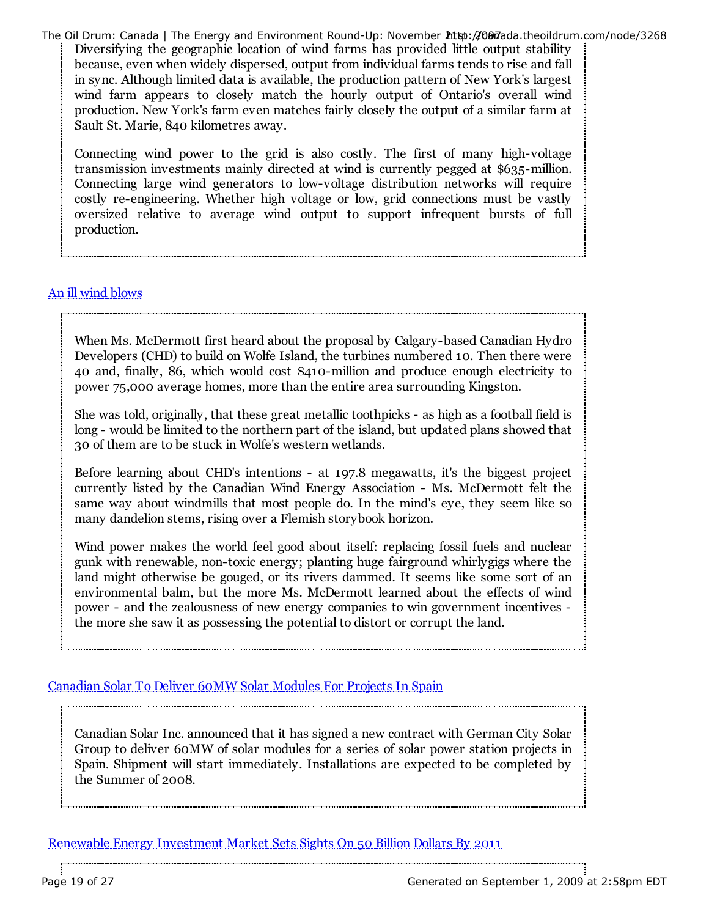Diversifying the geographic location of wind farms has provided little output stability because, even when widely dispersed, output from individual farms tends to rise and fall in sync. Although limited data is available, the production pattern of New York's largest wind farm appears to closely match the hourly output of Ontario's overall wind production. New York's farm even matches fairly closely the output of a similar farm at Sault St. Marie, 840 kilometres away.

Connecting wind power to the grid is also costly. The first of many high-voltage transmission investments mainly directed at wind is currently pegged at \$635-million. Connecting large wind generators to low-voltage distribution networks will require costly re-engineering. Whether high voltage or low, grid connections must be vastly oversized relative to average wind output to support infrequent bursts of full production.

## An ill wind blows

When Ms. McDermott first heard about the proposal by Calgary-based Canadian Hydro Developers (CHD) to build on Wolfe Island, the turbines numbered 10. Then there were 40 and, finally, 86, which would cost \$410-million and produce enough electricity to power 75,000 average homes, more than the entire area surrounding Kingston.

She was told, originally, that these great metallic toothpicks - as high as a football field is long - would be limited to the northern part of the island, but updated plans showed that 30 of them are to be stuck in Wolfe's western wetlands.

Before learning about CHD's intentions - at 197.8 megawatts, it's the biggest project currently listed by the Canadian Wind Energy Association - Ms. McDermott felt the same way about windmills that most people do. In the mind's eye, they seem like so many dandelion stems, rising over a Flemish storybook horizon.

Wind power makes the world feel good about itself: replacing fossil fuels and nuclear gunk with renewable, non-toxic energy; planting huge fairground whirlygigs where the land might otherwise be gouged, or its rivers dammed. It seems like some sort of an environmental balm, but the more Ms. McDermott learned about the effects of wind power - and the zealousness of new energy companies to win government incentives the more she saw it as possessing the potential to distort or corrupt the land.

## Canadian Solar To Deliver 60MW Solar Modules For Projects In Spain

Canadian Solar Inc. announced that it has signed a new contract with German City Solar Group to deliver 60MW of solar modules for a series of solar power station projects in Spain. Shipment will start immediately. Installations are expected to be completed by the Summer of 2008.

Renewable Energy Investment Market Sets Sights On 50 Billion Dollars By 2011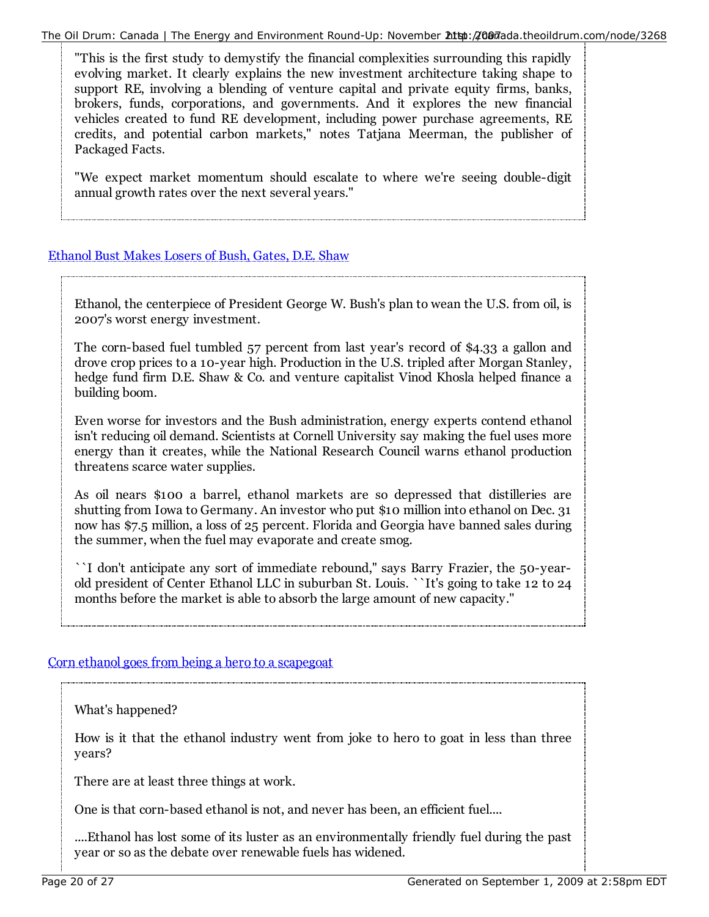"This is the first study to demystify the financial complexities surrounding this rapidly evolving market. It clearly explains the new investment architecture taking shape to support RE, involving a blending of venture capital and private equity firms, banks, brokers, funds, corporations, and governments. And it explores the new financial vehicles created to fund RE development, including power purchase agreements, RE credits, and potential carbon markets," notes Tatjana Meerman, the publisher of Packaged Facts.

"We expect market momentum should escalate to where we're seeing double-digit annual growth rates over the next several years."

## Ethanol Bust Makes Losers of Bush, Gates, D.E. Shaw

Ethanol, the centerpiece of President George W. Bush's plan to wean the U.S. from oil, is 2007's worst energy investment.

The corn-based fuel tumbled 57 percent from last year's record of \$4.33 a gallon and drove crop prices to a 10-year high. Production in the U.S. tripled after Morgan Stanley, hedge fund firm D.E. Shaw & Co. and venture capitalist Vinod Khosla helped finance a building boom.

Even worse for investors and the Bush administration, energy experts contend ethanol isn't reducing oil demand. Scientists at Cornell University say making the fuel uses more energy than it creates, while the National Research Council warns ethanol production threatens scarce water supplies.

As oil nears \$100 a barrel, ethanol markets are so depressed that distilleries are shutting from Iowa to Germany. An investor who put \$10 million into ethanol on Dec. 31 now has \$7.5 million, a loss of 25 percent. Florida and Georgia have banned sales during the summer, when the fuel may evaporate and create smog.

``I don't anticipate any sort of immediate rebound,'' says Barry Frazier, the 50-yearold president of Center Ethanol LLC in suburban St. Louis. ``It's going to take 12 to 24 months before the market is able to absorb the large amount of new capacity.''

# Corn ethanol goes from being a hero to a scapegoat

What's happened?

How is it that the ethanol industry went from joke to hero to goat in less than three years?

There are at least three things at work.

One is that corn-based ethanol is not, and never has been, an efficient fuel....

....Ethanol has lost some of its luster as an environmentally friendly fuel during the past year or so as the debate over renewable fuels has widened.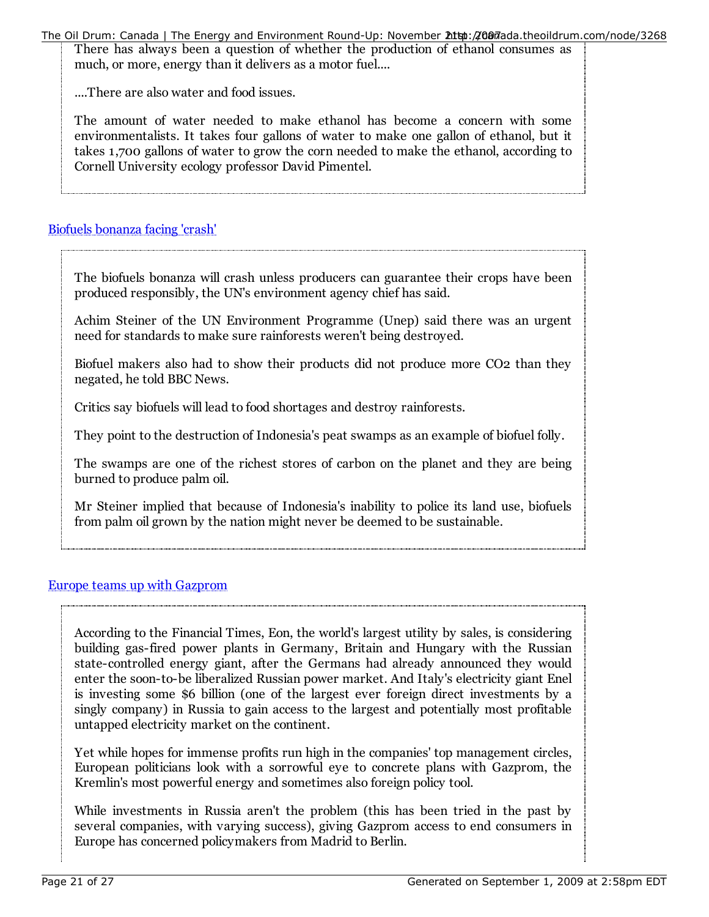There has always been a question of whether the production of ethanol consumes as much, or more, energy than it delivers as a motor fuel....

....There are also water and food issues.

The amount of water needed to make ethanol has become a concern with some environmentalists. It takes four gallons of water to make one gallon of ethanol, but it takes 1,700 gallons of water to grow the corn needed to make the ethanol, according to Cornell University ecology professor David Pimentel.

# Biofuels bonanza facing 'crash'

The biofuels bonanza will crash unless producers can guarantee their crops have been produced responsibly, the UN's environment agency chief has said.

Achim Steiner of the UN Environment Programme (Unep) said there was an urgent need for standards to make sure rainforests weren't being destroyed.

Biofuel makers also had to show their products did not produce more CO2 than they negated, he told BBC News.

Critics say biofuels will lead to food shortages and destroy rainforests.

They point to the destruction of Indonesia's peat swamps as an example of biofuel folly.

The swamps are one of the richest stores of carbon on the planet and they are being burned to produce palm oil.

Mr Steiner implied that because of Indonesia's inability to police its land use, biofuels from palm oil grown by the nation might never be deemed to be sustainable.

# Europe teams up with Gazprom

According to the Financial Times, Eon, the world's largest utility by sales, is considering building gas-fired power plants in Germany, Britain and Hungary with the Russian state-controlled energy giant, after the Germans had already announced they would enter the soon-to-be liberalized Russian power market. And Italy's electricity giant Enel is investing some \$6 billion (one of the largest ever foreign direct investments by a singly company) in Russia to gain access to the largest and potentially most profitable untapped electricity market on the continent.

Yet while hopes for immense profits run high in the companies' top management circles, European politicians look with a sorrowful eye to concrete plans with Gazprom, the Kremlin's most powerful energy and sometimes also foreign policy tool.

While investments in Russia aren't the problem (this has been tried in the past by several companies, with varying success), giving Gazprom access to end consumers in Europe has concerned policymakers from Madrid to Berlin.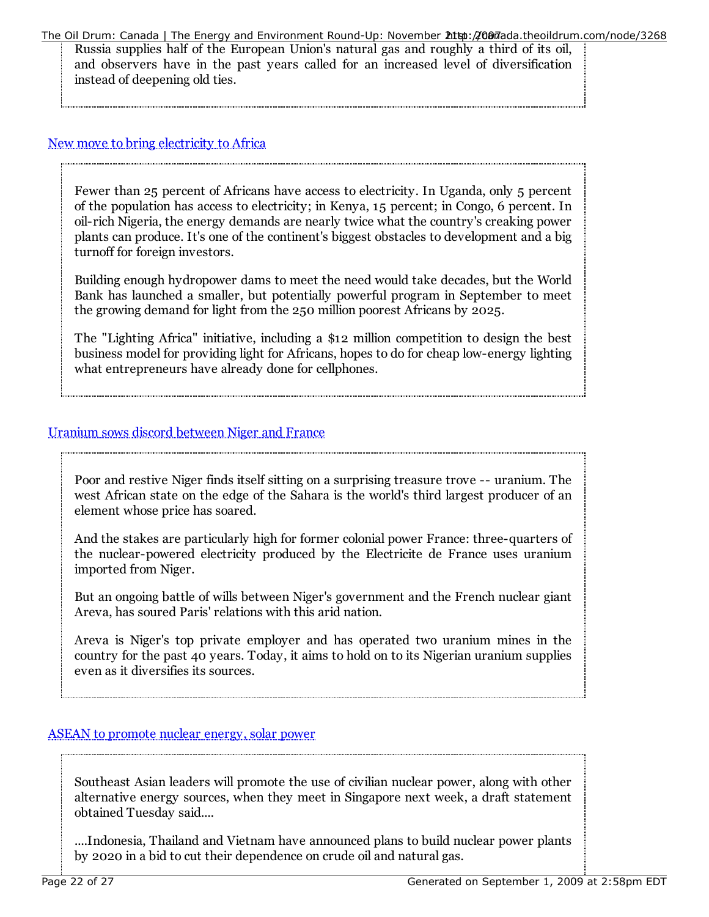Russia supplies half of the European Union's natural gas and roughly a third of its oil, and observers have in the past years called for an increased level of diversification instead of deepening old ties.

#### New move to bring electricity to Africa

Fewer than 25 percent of Africans have access to electricity. In Uganda, only 5 percent of the population has access to electricity; in Kenya, 15 percent; in Congo, 6 percent. In oil-rich Nigeria, the energy demands are nearly twice what the country's creaking power plants can produce. It's one of the continent's biggest obstacles to development and a big turnoff for foreign investors.

Building enough hydropower dams to meet the need would take decades, but the World Bank has launched a smaller, but potentially powerful program in September to meet the growing demand for light from the 250 million poorest Africans by 2025.

The "Lighting Africa" initiative, including a \$12 million competition to design the best business model for providing light for Africans, hopes to do for cheap low-energy lighting what entrepreneurs have already done for cellphones.

## Uranium sows discord between Niger and France

Poor and restive Niger finds itself sitting on a surprising treasure trove -- uranium. The west African state on the edge of the Sahara is the world's third largest producer of an element whose price has soared.

And the stakes are particularly high for former colonial power France: three-quarters of the nuclear-powered electricity produced by the Electricite de France uses uranium imported from Niger.

But an ongoing battle of wills between Niger's government and the French nuclear giant Areva, has soured Paris' relations with this arid nation.

Areva is Niger's top private employer and has operated two uranium mines in the country for the past 40 years. Today, it aims to hold on to its Nigerian uranium supplies even as it diversifies its sources.

#### ASEAN to promote nuclear energy, solar power

Southeast Asian leaders will promote the use of civilian nuclear power, along with other alternative energy sources, when they meet in Singapore next week, a draft statement obtained Tuesday said....

....Indonesia, Thailand and Vietnam have announced plans to build nuclear power plants by 2020 in a bid to cut their dependence on crude oil and natural gas.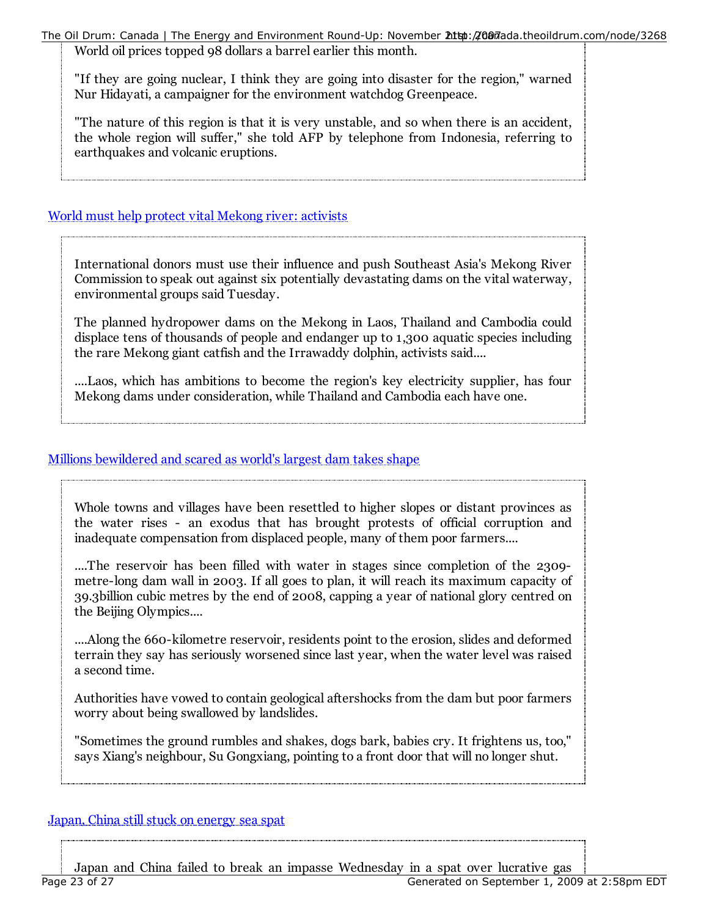World oil prices topped 98 dollars a barrel earlier this month.

"If they are going nuclear, I think they are going into disaster for the region," warned Nur Hidayati, a campaigner for the environment watchdog Greenpeace.

"The nature of this region is that it is very unstable, and so when there is an accident, the whole region will suffer," she told AFP by telephone from Indonesia, referring to earthquakes and volcanic eruptions.

# World must help protect vital Mekong river: activists

International donors must use their influence and push Southeast Asia's Mekong River Commission to speak out against six potentially devastating dams on the vital waterway, environmental groups said Tuesday.

The planned hydropower dams on the Mekong in Laos, Thailand and Cambodia could displace tens of thousands of people and endanger up to 1,300 aquatic species including the rare Mekong giant catfish and the Irrawaddy dolphin, activists said....

....Laos, which has ambitions to become the region's key electricity supplier, has four Mekong dams under consideration, while Thailand and Cambodia each have one.

## Millions bewildered and scared as world's largest dam takes shape

Whole towns and villages have been resettled to higher slopes or distant provinces as the water rises - an exodus that has brought protests of official corruption and inadequate compensation from displaced people, many of them poor farmers....

....The reservoir has been filled with water in stages since completion of the 2309 metre-long dam wall in 2003. If all goes to plan, it will reach its maximum capacity of 39.3billion cubic metres by the end of 2008, capping a year of national glory centred on the Beijing Olympics....

....Along the 660-kilometre reservoir, residents point to the erosion, slides and deformed terrain they say has seriously worsened since last year, when the water level was raised a second time.

Authorities have vowed to contain geological aftershocks from the dam but poor farmers worry about being swallowed by landslides.

"Sometimes the ground rumbles and shakes, dogs bark, babies cry. It frightens us, too," says Xiang's neighbour, Su Gongxiang, pointing to a front door that will no longer shut.

## Japan, China still stuck on energy sea spat

Japan and China failed to break an impasse Wednesday in a spat over lucrative gas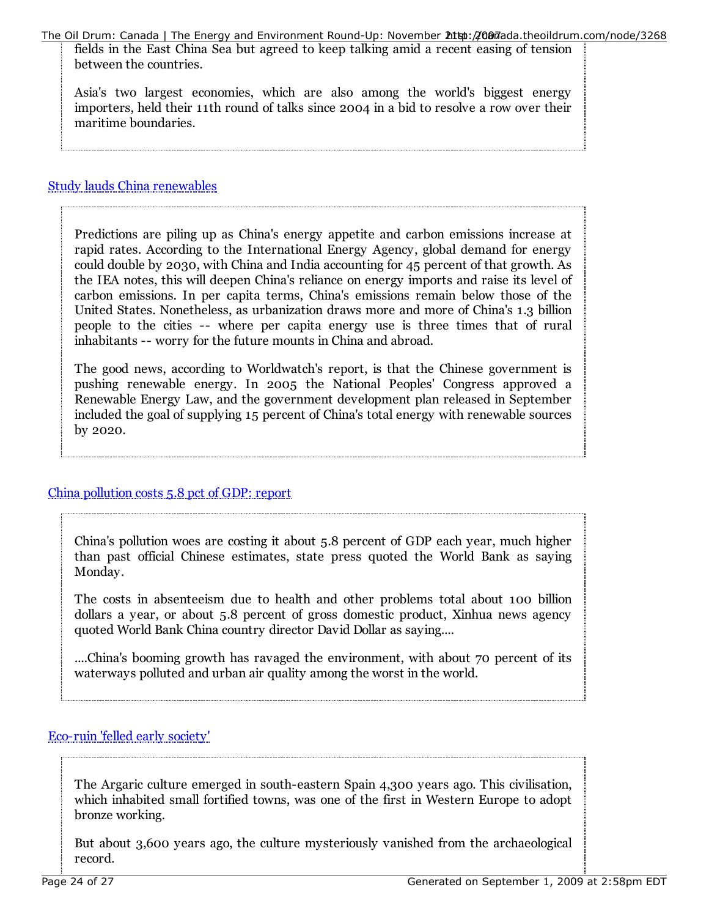fields in the East China Sea but agreed to keep talking amid a recent easing of tension between the countries.

Asia's two largest economies, which are also among the world's biggest energy importers, held their 11th round of talks since 2004 in a bid to resolve a row over their maritime boundaries.

#### Study lauds China renewables

Predictions are piling up as China's energy appetite and carbon emissions increase at rapid rates. According to the International Energy Agency, global demand for energy could double by 2030, with China and India accounting for 45 percent of that growth. As the IEA notes, this will deepen China's reliance on energy imports and raise its level of carbon emissions. In per capita terms, China's emissions remain below those of the United States. Nonetheless, as urbanization draws more and more of China's 1.3 billion people to the cities -- where per capita energy use is three times that of rural inhabitants -- worry for the future mounts in China and abroad.

The good news, according to Worldwatch's report, is that the Chinese government is pushing renewable energy. In 2005 the National Peoples' Congress approved a Renewable Energy Law, and the government development plan released in September included the goal of supplying 15 percent of China's total energy with renewable sources by 2020.

## China pollution costs 5.8 pct of GDP: report

China's pollution woes are costing it about 5.8 percent of GDP each year, much higher than past official Chinese estimates, state press quoted the World Bank as saying Monday.

The costs in absenteeism due to health and other problems total about 100 billion dollars a year, or about 5.8 percent of gross domestic product, Xinhua news agency quoted World Bank China country director David Dollar as saying....

....China's booming growth has ravaged the environment, with about 70 percent of its waterways polluted and urban air quality among the worst in the world.

#### Eco-ruin 'felled early society'

The Argaric culture emerged in south-eastern Spain 4,300 years ago. This civilisation, which inhabited small fortified towns, was one of the first in Western Europe to adopt bronze working.

But about 3,600 years ago, the culture mysteriously vanished from the archaeological record.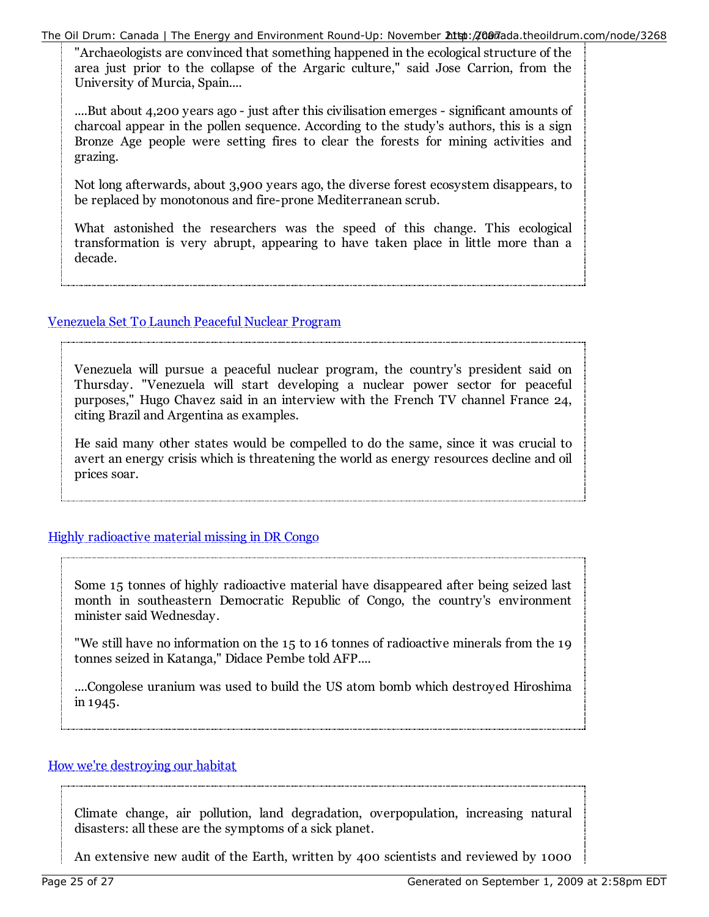"Archaeologists are convinced that something happened in the ecological structure of the area just prior to the collapse of the Argaric culture," said Jose Carrion, from the University of Murcia, Spain....

....But about 4,200 years ago - just after this civilisation emerges - significant amounts of charcoal appear in the pollen sequence. According to the study's authors, this is a sign Bronze Age people were setting fires to clear the forests for mining activities and grazing.

Not long afterwards, about 3,900 years ago, the diverse forest ecosystem disappears, to be replaced by monotonous and fire-prone Mediterranean scrub.

What astonished the researchers was the speed of this change. This ecological transformation is very abrupt, appearing to have taken place in little more than a decade.

## Venezuela Set To Launch Peaceful Nuclear Program

Venezuela will pursue a peaceful nuclear program, the country's president said on Thursday. "Venezuela will start developing a nuclear power sector for peaceful purposes," Hugo Chavez said in an interview with the French TV channel France 24, citing Brazil and Argentina as examples.

He said many other states would be compelled to do the same, since it was crucial to avert an energy crisis which is threatening the world as energy resources decline and oil prices soar.

## Highly radioactive material missing in DR Congo

Some 15 tonnes of highly radioactive material have disappeared after being seized last month in southeastern Democratic Republic of Congo, the country's environment minister said Wednesday.

"We still have no information on the 15 to 16 tonnes of radioactive minerals from the 19 tonnes seized in Katanga," Didace Pembe told AFP....

....Congolese uranium was used to build the US atom bomb which destroyed Hiroshima in 1945.

## How we're destroying our habitat

Climate change, air pollution, land degradation, overpopulation, increasing natural disasters: all these are the symptoms of a sick planet.

An extensive new audit of the Earth, written by 400 scientists and reviewed by 1000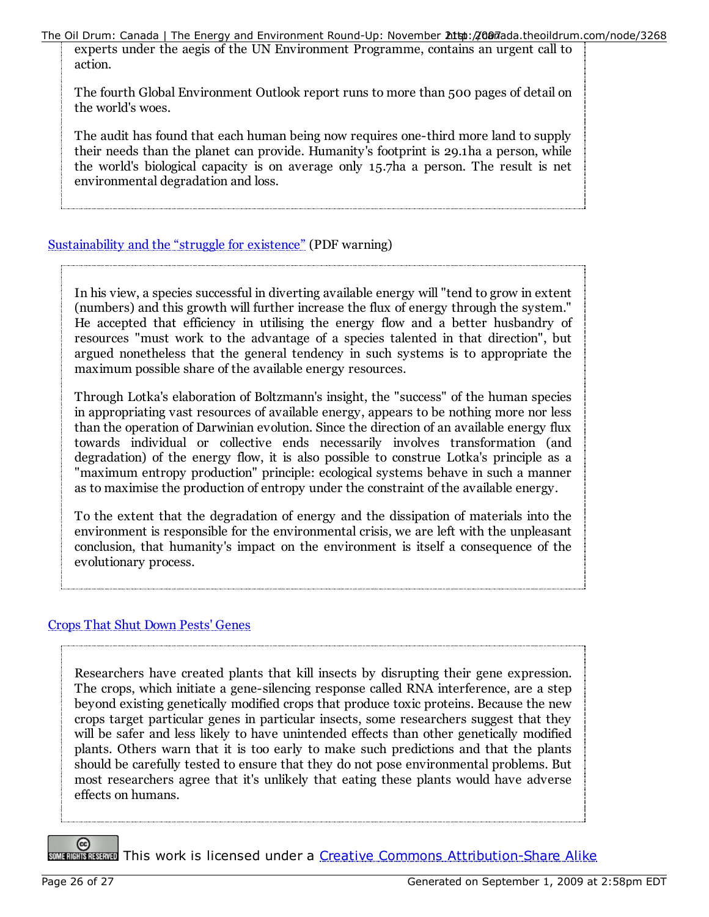experts under the aegis of the UN Environment Programme, contains an urgent call to action.

The fourth Global Environment Outlook report runs to more than 500 pages of detail on the world's woes.

The audit has found that each human being now requires one-third more land to supply their needs than the planet can provide. Humanity's footprint is 29.1ha a person, while the world's biological capacity is on average only 15.7ha a person. The result is net environmental degradation and loss.

## Sustainability and the "struggle for existence" (PDF warning)

In his view, a species successful in diverting available energy will "tend to grow in extent (numbers) and this growth will further increase the flux of energy through the system." He accepted that efficiency in utilising the energy flow and a better husbandry of resources "must work to the advantage of a species talented in that direction", but argued nonetheless that the general tendency in such systems is to appropriate the maximum possible share of the available energy resources.

Through Lotka's elaboration of Boltzmann's insight, the "success" of the human species in appropriating vast resources of available energy, appears to be nothing more nor less than the operation of Darwinian evolution. Since the direction of an available energy flux towards individual or collective ends necessarily involves transformation (and degradation) of the energy flow, it is also possible to construe Lotka's principle as a "maximum entropy production" principle: ecological systems behave in such a manner as to maximise the production of entropy under the constraint of the available energy.

To the extent that the degradation of energy and the dissipation of materials into the environment is responsible for the environmental crisis, we are left with the unpleasant conclusion, that humanity's impact on the environment is itself a consequence of the evolutionary process.

# Crops That Shut Down Pests' Genes

Researchers have created plants that kill insects by disrupting their gene expression. The crops, which initiate a gene-silencing response called RNA interference, are a step beyond existing genetically modified crops that produce toxic proteins. Because the new crops target particular genes in particular insects, some researchers suggest that they will be safer and less likely to have unintended effects than other genetically modified plants. Others warn that it is too early to make such predictions and that the plants should be carefully tested to ensure that they do not pose environmental problems. But most researchers agree that it's unlikely that eating these plants would have adverse effects on humans.

 $\circled{c}$ The This work is licensed under a Creative Commons Attribution-Share Alike